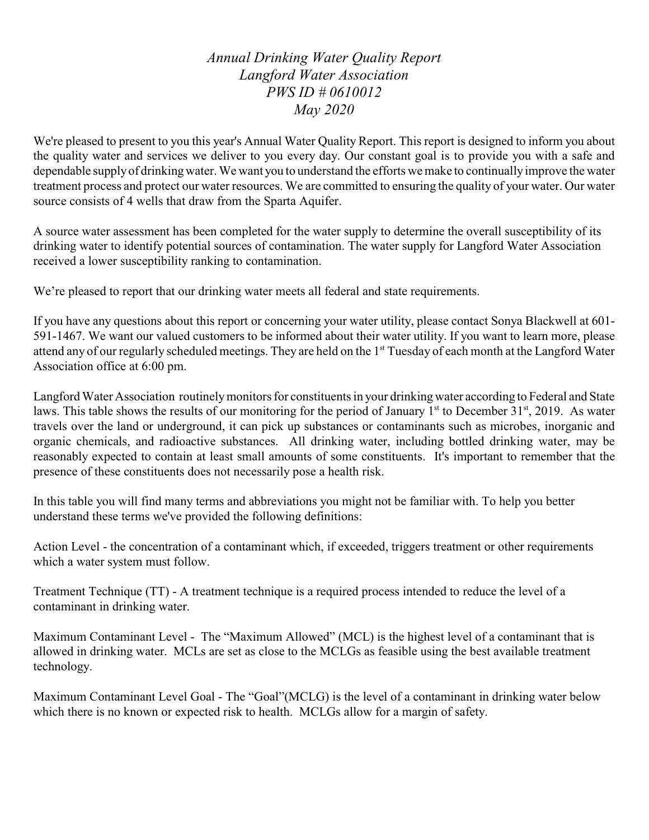*Annual Drinking Water Quality Report Langford Water Association PWS ID # 0610012 May 2020*

We're pleased to present to you this year's Annual Water Quality Report. This report is designed to inform you about the quality water and services we deliver to you every day. Our constant goal is to provide you with a safe and dependable supply of drinking water. We want you to understand the efforts we make to continually improve the water treatment process and protect our water resources. We are committed to ensuring the quality of your water. Our water source consists of 4 wells that draw from the Sparta Aquifer.

A source water assessment has been completed for the water supply to determine the overall susceptibility of its drinking water to identify potential sources of contamination. The water supply for Langford Water Association received a lower susceptibility ranking to contamination.

We're pleased to report that our drinking water meets all federal and state requirements.

If you have any questions about this report or concerning your water utility, please contact Sonya Blackwell at 601- 591-1467. We want our valued customers to be informed about their water utility. If you want to learn more, please attend any of our regularly scheduled meetings. They are held on the 1<sup>st</sup> Tuesday of each month at the Langford Water Association office at 6:00 pm.

Langford Water Association routinelymonitors for constituents in your drinking water according to Federal and State laws. This table shows the results of our monitoring for the period of January  $1<sup>st</sup>$  to December 31 $<sup>st</sup>$ , 2019. As water</sup> travels over the land or underground, it can pick up substances or contaminants such as microbes, inorganic and organic chemicals, and radioactive substances. All drinking water, including bottled drinking water, may be reasonably expected to contain at least small amounts of some constituents. It's important to remember that the presence of these constituents does not necessarily pose a health risk.

In this table you will find many terms and abbreviations you might not be familiar with. To help you better understand these terms we've provided the following definitions:

Action Level - the concentration of a contaminant which, if exceeded, triggers treatment or other requirements which a water system must follow.

Treatment Technique (TT) - A treatment technique is a required process intended to reduce the level of a contaminant in drinking water.

Maximum Contaminant Level - The "Maximum Allowed" (MCL) is the highest level of a contaminant that is allowed in drinking water. MCLs are set as close to the MCLGs as feasible using the best available treatment technology.

Maximum Contaminant Level Goal - The "Goal"(MCLG) is the level of a contaminant in drinking water below which there is no known or expected risk to health. MCLGs allow for a margin of safety.